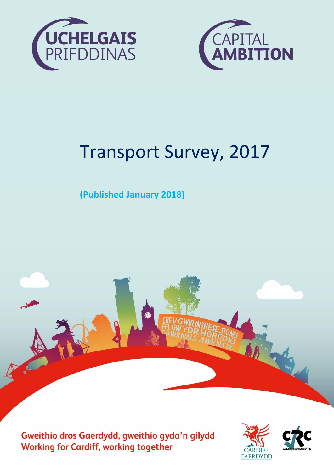



# Transport Survey, 2017

**(Published January 2018)** 



Cardiff Research Centre, Cardiff Council – January 2018 e



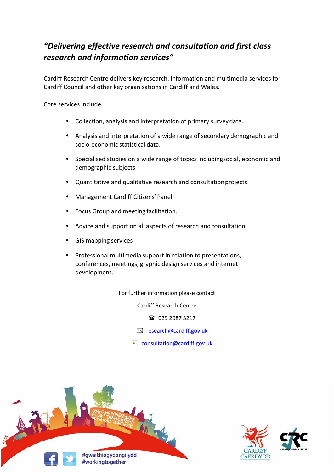## *"Delivering effective research and consultation and first class research and information services"*

Cardiff Research Centre delivers key research, information and multimedia services for Cardiff Council and other key organisations in Cardiff and Wales.

Core services include:

- Collection, analysis and interpretation of primary survey data.
- Analysis and interpretation of a wide range of secondary demographic and socio‐economic statistical data.
- Specialised studies on a wide range of topics includingsocial, economic and demographic subjects.
- Quantitative and qualitative research and consultation projects.
- Management Cardiff Citizens' Panel.
- Focus Group and meeting facilitation.
- Advice and support on all aspects of research and consultation.
- GIS mapping services
- Professional multimedia support in relation to presentations, conferences, meetings, graphic design services and internet development.

For further information please contact

Cardiff Research Centre

■ 029 2087 3217

 $\boxtimes$  research@cardiff.gov.uk

 $\boxtimes$  consultation@cardiff.gov.uk



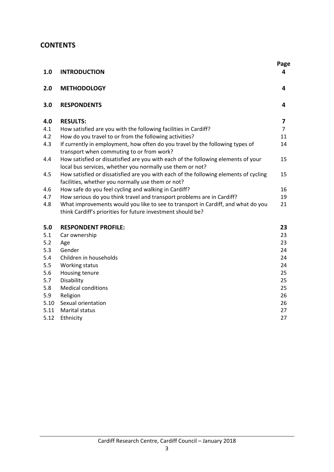## **CONTENTS**

| 1.0  | <b>INTRODUCTION</b>                                                                                                                             | Page<br>4      |
|------|-------------------------------------------------------------------------------------------------------------------------------------------------|----------------|
| 2.0  | <b>METHODOLOGY</b>                                                                                                                              | 4              |
| 3.0  | <b>RESPONDENTS</b>                                                                                                                              | 4              |
| 4.0  | <b>RESULTS:</b>                                                                                                                                 | 7              |
| 4.1  | How satisfied are you with the following facilities in Cardiff?                                                                                 | $\overline{7}$ |
| 4.2  | How do you travel to or from the following activities?                                                                                          | 11             |
| 4.3  | If currently in employment, how often do you travel by the following types of<br>transport when commuting to or from work?                      | 14             |
| 4.4  | How satisfied or dissatisfied are you with each of the following elements of your<br>local bus services, whether you normally use them or not?  | 15             |
| 4.5  | How satisfied or dissatisfied are you with each of the following elements of cycling<br>facilities, whether you normally use them or not?       | 15             |
| 4.6  | How safe do you feel cycling and walking in Cardiff?                                                                                            | 16             |
| 4.7  | How serious do you think travel and transport problems are in Cardiff?                                                                          | 19             |
| 4.8  | What improvements would you like to see to transport in Cardiff, and what do you<br>think Cardiff's priorities for future investment should be? | 21             |
| 5.0  | <b>RESPONDENT PROFILE:</b>                                                                                                                      | 23             |
| 5.1  | Car ownership                                                                                                                                   | 23             |
| 5.2  | Age                                                                                                                                             | 23             |
| 5.3  | Gender                                                                                                                                          | 24             |
| 5.4  | Children in households                                                                                                                          | 24             |
| 5.5  | Working status                                                                                                                                  | 24             |
| 5.6  | Housing tenure                                                                                                                                  | 25             |
| 5.7  | Disability                                                                                                                                      | 25             |
| 5.8  | <b>Medical conditions</b>                                                                                                                       | 25             |
| 5.9  | Religion                                                                                                                                        | 26             |
| 5.10 | Sexual orientation                                                                                                                              | 26             |
| 5.11 | <b>Marital status</b>                                                                                                                           | 27             |
| 5.12 | Ethnicity                                                                                                                                       | 27             |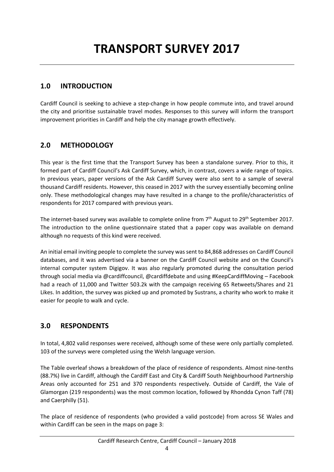## **1.0 INTRODUCTION**

Cardiff Council is seeking to achieve a step-change in how people commute into, and travel around the city and prioritise sustainable travel modes. Responses to this survey will inform the transport improvement priorities in Cardiff and help the city manage growth effectively.

## **2.0 METHODOLOGY**

This year is the first time that the Transport Survey has been a standalone survey. Prior to this, it formed part of Cardiff Council's Ask Cardiff Survey, which, in contrast, covers a wide range of topics. In previous years, paper versions of the Ask Cardiff Survey were also sent to a sample of several thousand Cardiff residents. However, this ceased in 2017 with the survey essentially becoming online only. These methodological changes may have resulted in a change to the profile/characteristics of respondents for 2017 compared with previous years.

The internet-based survey was available to complete online from 7<sup>th</sup> August to 29<sup>th</sup> September 2017. The introduction to the online questionnaire stated that a paper copy was available on demand although no requests of this kind were received.

An initial email inviting people to complete the survey was sent to 84,868 addresses on Cardiff Council databases, and it was advertised via a banner on the Cardiff Council website and on the Council's internal computer system Digigov. It was also regularly promoted during the consultation period through social media via @cardiffcouncil, @cardiffdebate and using #KeepCardiffMoving – Facebook had a reach of 11,000 and Twitter 503.2k with the campaign receiving 65 Retweets/Shares and 21 Likes. In addition, the survey was picked up and promoted by Sustrans, a charity who work to make it easier for people to walk and cycle.

## **3.0 RESPONDENTS**

In total, 4,802 valid responses were received, although some of these were only partially completed. 103 of the surveys were completed using the Welsh language version.

The Table overleaf shows a breakdown of the place of residence of respondents. Almost nine‐tenths (88.7%) live in Cardiff, although the Cardiff East and City & Cardiff South Neighbourhood Partnership Areas only accounted for 251 and 370 respondents respectively. Outside of Cardiff, the Vale of Glamorgan (219 respondents) was the most common location, followed by Rhondda Cynon Taff (78) and Caerphilly (51).

The place of residence of respondents (who provided a valid postcode) from across SE Wales and within Cardiff can be seen in the maps on page 3: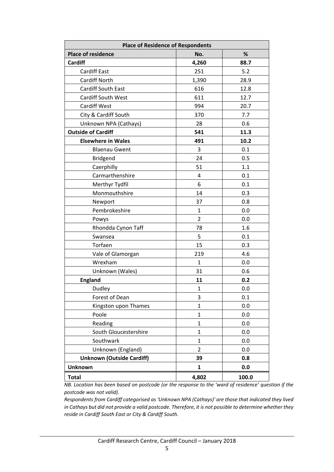| <b>Place of Residence of Respondents</b> |                |       |  |  |
|------------------------------------------|----------------|-------|--|--|
| <b>Place of residence</b>                | No.            | %     |  |  |
| <b>Cardiff</b>                           | 4,260          | 88.7  |  |  |
| <b>Cardiff East</b>                      | 251            | 5.2   |  |  |
| <b>Cardiff North</b>                     | 1,390          | 28.9  |  |  |
| <b>Cardiff South East</b>                | 616            | 12.8  |  |  |
| <b>Cardiff South West</b>                | 611            | 12.7  |  |  |
| <b>Cardiff West</b>                      | 994            | 20.7  |  |  |
| City & Cardiff South                     | 370            | 7.7   |  |  |
| Unknown NPA (Cathays)                    | 28             | 0.6   |  |  |
| <b>Outside of Cardiff</b>                | 541            | 11.3  |  |  |
| <b>Elsewhere in Wales</b>                | 491            | 10.2  |  |  |
| <b>Blaenau Gwent</b>                     | 3              | 0.1   |  |  |
| <b>Bridgend</b>                          | 24             | 0.5   |  |  |
| Caerphilly                               | 51             | 1.1   |  |  |
| Carmarthenshire                          | 4              | 0.1   |  |  |
| Merthyr Tydfil                           | 6              | 0.1   |  |  |
| Monmouthshire                            | 14             | 0.3   |  |  |
| Newport                                  | 37             | 0.8   |  |  |
| Pembrokeshire                            | $\mathbf{1}$   | 0.0   |  |  |
| Powys                                    | $\overline{2}$ | 0.0   |  |  |
| Rhondda Cynon Taff                       | 78             | 1.6   |  |  |
| Swansea                                  | 5              | 0.1   |  |  |
| Torfaen                                  | 15             | 0.3   |  |  |
| Vale of Glamorgan                        | 219            | 4.6   |  |  |
| Wrexham                                  | $\mathbf{1}$   | 0.0   |  |  |
| Unknown (Wales)                          | 31             | 0.6   |  |  |
| <b>England</b>                           | 11             | 0.2   |  |  |
| Dudley                                   | $\mathbf{1}$   | 0.0   |  |  |
| Forest of Dean                           | 3              | 0.1   |  |  |
| Kingston upon Thames                     | $\mathbf{1}$   | 0.0   |  |  |
| Poole                                    | $\mathbf{1}$   | 0.0   |  |  |
| Reading                                  | $\mathbf{1}$   | 0.0   |  |  |
| South Gloucestershire                    | $\mathbf{1}$   | 0.0   |  |  |
| Southwark                                | $\mathbf{1}$   | 0.0   |  |  |
| Unknown (England)                        | $\overline{2}$ | 0.0   |  |  |
| <b>Unknown (Outside Cardiff)</b>         | 39             | 0.8   |  |  |
| <b>Unknown</b>                           | 1              | 0.0   |  |  |
| <b>Total</b>                             | 4,802          | 100.0 |  |  |

*NB. Location has been based on postcode (or the response to the 'ward of residence' question if the postcode was not valid).* 

*Respondents from Cardiff categorised as 'Unknown NPA (Cathays)' are those that indicated they lived in Cathays but did not provide a valid postcode. Therefore, it is not possible to determine whether they reside in Cardiff South East or City & Cardiff South.*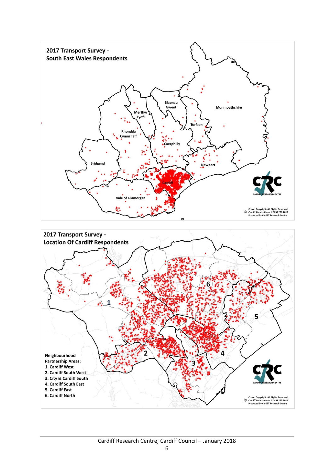

#### Cardiff Research Centre, Cardiff Council – January 2018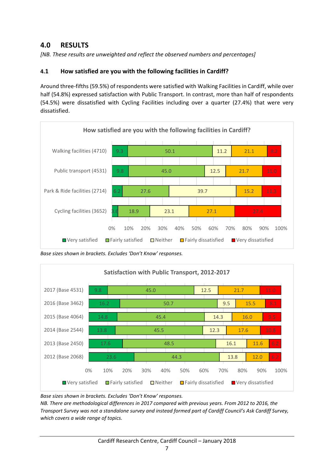## **4.0 RESULTS**

*[NB. These results are unweighted and reflect the observed numbers and percentages]* 

#### **4.1 How satisfied are you with the following facilities in Cardiff?**

Around three‐fifths (59.5%) of respondents were satisfied with Walking Facilities in Cardiff, while over half (54.8%) expressed satisfaction with Public Transport. In contrast, more than half of respondents (54.5%) were dissatisfied with Cycling Facilities including over a quarter (27.4%) that were very dissatisfied.



*Base sizes shown in brackets. Excludes 'Don't Know' responses.* 



*Base sizes shown in brackets. Excludes 'Don't Know' responses.* 

*NB. There are methodological differences in 2017 compared with previous years. From 2012 to 2016, the Transport Survey was not a standalone survey and instead formed part of Cardiff Council's Ask Cardiff Survey, which covers a wide range of topics.*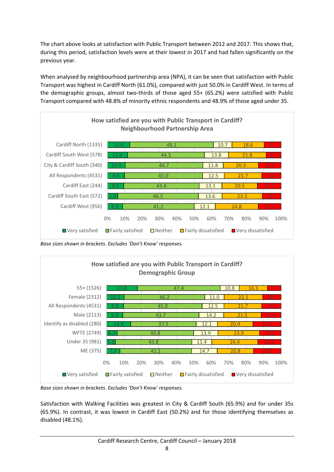The chart above looks at satisfaction with Public Transport between 2012 and 2017. This shows that, during this period, satisfaction levels were at their lowest in 2017 and had fallen significantly on the previous year.

When analysed by neighbourhood partnership area (NPA), it can be seen that satisfaction with Public Transport was highest in Cardiff North (61.0%), compared with just 50.0% in Cardiff West. In terms of the demographic groups, almost two-thirds of those aged 55+ (65.2%) were satisfied with Public Transport compared with 48.8% of minority ethnic respondents and 48.9% of those aged under 35.



*Base sizes shown in brackets. Excludes 'Don't Know' responses.* 



*Base sizes shown in brackets. Excludes 'Don't Know' responses.* 

Satisfaction with Walking Facilities was greatest in City & Cardiff South (65.9%) and for under 35s (65.9%). In contrast, it was lowest in Cardiff East (50.2%) and for those identifying themselves as disabled (48.1%).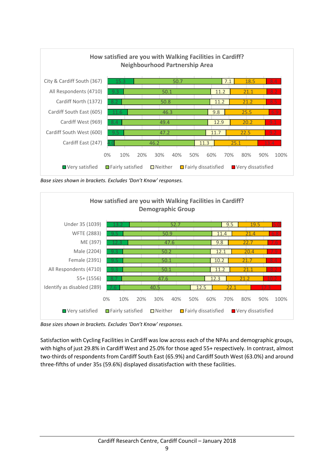

*Base sizes shown in brackets. Excludes 'Don't Know' responses.* 



*Base sizes shown in brackets. Excludes 'Don't Know' responses.* 

Satisfaction with Cycling Facilities in Cardiff was low across each of the NPAs and demographic groups, with highs of just 29.8% in Cardiff West and 25.0% for those aged 55+ respectively. In contrast, almost two-thirds of respondents from Cardiff South East (65.9%) and Cardiff South West (63.0%) and around three‐fifths of under 35s (59.6%) displayed dissatisfaction with these facilities.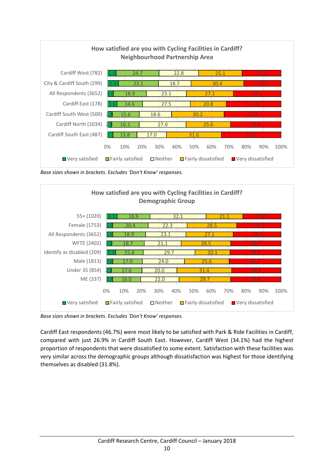

*Base sizes shown in brackets. Excludes 'Don't Know' responses.* 



*Base sizes shown in brackets. Excludes 'Don't Know' responses.* 

Cardiff East respondents (46.7%) were most likely to be satisfied with Park & Ride Facilities in Cardiff, compared with just 26.9% in Cardiff South East. However, Cardiff West (34.1%) had the highest proportion of respondents that were dissatisfied to some extent. Satisfaction with these facilities was very similar across the demographic groups although dissatisfaction was highest for those identifying themselves as disabled (31.8%).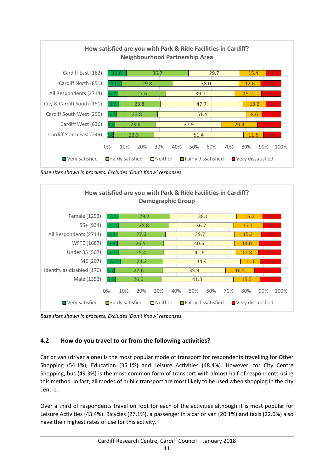

*Base sizes shown in brackets. Excludes 'Don't Know' responses.* 



*Base sizes shown in brackets. Excludes 'Don't Know' responses.* 

#### **4.2 How do you travel to or from the following activities?**

Car or van (driver alone) is the most popular mode of transport for respondents travelling for Other Shopping (54.1%), Education (35.1%) and Leisure Activities (48.4%). However, for City Centre Shopping, bus (49.3%) is the most common form of transport with almost half of respondents using this method. In fact, all modes of public transport are most likely to be used when shopping in the city centre.

Over a third of respondents travel on foot for each of the activities although it is most popular for Leisure Activities (43.4%). Bicycles (27.1%), a passenger in a car or van (20.1%) and taxis (22.0%) also have their highest rates of use for this activity.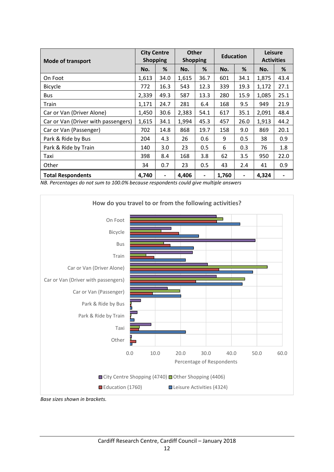| <b>Mode of transport</b>            | <b>City Centre</b><br><b>Shopping</b> |      | <b>Other</b><br><b>Shopping</b> |                          | <b>Education</b> |                          | Leisure<br><b>Activities</b> |      |
|-------------------------------------|---------------------------------------|------|---------------------------------|--------------------------|------------------|--------------------------|------------------------------|------|
|                                     | No.                                   | %    | No.                             | %                        | No.              | %                        | No.                          | %    |
| On Foot                             | 1,613                                 | 34.0 | 1,615                           | 36.7                     | 601              | 34.1                     | 1,875                        | 43.4 |
| Bicycle                             | 772                                   | 16.3 | 543                             | 12.3                     | 339              | 19.3                     | 1,172                        | 27.1 |
| <b>Bus</b>                          | 2,339                                 | 49.3 | 587                             | 13.3                     | 280              | 15.9                     | 1,085                        | 25.1 |
| Train                               | 1,171                                 | 24.7 | 281                             | 6.4                      | 168              | 9.5                      | 949                          | 21.9 |
| Car or Van (Driver Alone)           | 1,450                                 | 30.6 | 2,383                           | 54.1                     | 617              | 35.1                     | 2,091                        | 48.4 |
| Car or Van (Driver with passengers) | 1,615                                 | 34.1 | 1,994                           | 45.3                     | 457              | 26.0                     | 1,913                        | 44.2 |
| Car or Van (Passenger)              | 702                                   | 14.8 | 868                             | 19.7                     | 158              | 9.0                      | 869                          | 20.1 |
| Park & Ride by Bus                  | 204                                   | 4.3  | 26                              | 0.6                      | 9                | 0.5                      | 38                           | 0.9  |
| Park & Ride by Train                | 140                                   | 3.0  | 23                              | 0.5                      | 6                | 0.3                      | 76                           | 1.8  |
| Taxi                                | 398                                   | 8.4  | 168                             | 3.8                      | 62               | 3.5                      | 950                          | 22.0 |
| Other                               | 34                                    | 0.7  | 23                              | 0.5                      | 43               | 2.4                      | 41                           | 0.9  |
| <b>Total Respondents</b>            | 4,740                                 |      | 4,406                           | $\overline{\phantom{a}}$ | 1,760            | $\overline{\phantom{a}}$ | 4,324                        |      |

*NB. Percentages do not sum to 100.0% because respondents could give multiple answers* 



*Base sizes shown in brackets.*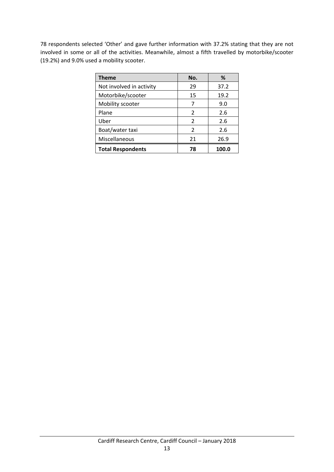78 respondents selected 'Other' and gave further information with 37.2% stating that they are not involved in some or all of the activities. Meanwhile, almost a fifth travelled by motorbike/scooter (19.2%) and 9.0% used a mobility scooter.

| <b>Theme</b>             | No.           | %     |
|--------------------------|---------------|-------|
| Not involved in activity | 29            | 37.2  |
| Motorbike/scooter        | 15            | 19.2  |
| Mobility scooter         | 7             | 9.0   |
| Plane                    | $\mathcal{P}$ | 2.6   |
| Uber                     | $\mathcal{P}$ | 2.6   |
| Boat/water taxi          | $\mathcal{P}$ | 2.6   |
| Miscellaneous            | 21            | 26.9  |
| <b>Total Respondents</b> | 78            | 100.0 |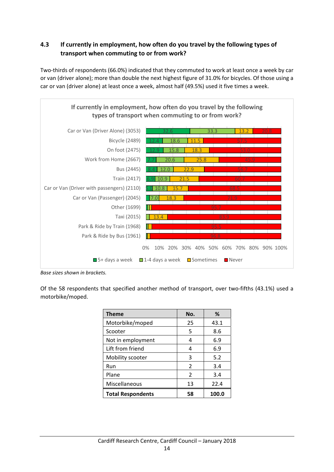## **4.3 If currently in employment, how often do you travel by the following types of transport when commuting to or from work?**

Two-thirds of respondents (66.0%) indicated that they commuted to work at least once a week by car or van (driver alone); more than double the next highest figure of 31.0% for bicycles. Of those using a car or van (driver alone) at least once a week, almost half (49.5%) used it five times a week.



*Base sizes shown in brackets.*

Of the 58 respondents that specified another method of transport, over two-fifths (43.1%) used a motorbike/moped.

| <b>Theme</b>             | No.           | %     |
|--------------------------|---------------|-------|
| Motorbike/moped          | 25            | 43.1  |
| Scooter                  | 5             | 8.6   |
| Not in employment        | 4             | 6.9   |
| Lift from friend         | 4             | 6.9   |
| Mobility scooter         | 3             | 5.2   |
| Run                      | $\mathcal{P}$ | 3.4   |
| Plane                    | $\mathcal{P}$ | 3.4   |
| Miscellaneous            | 13            | 22.4  |
| <b>Total Respondents</b> | 58            | 100.0 |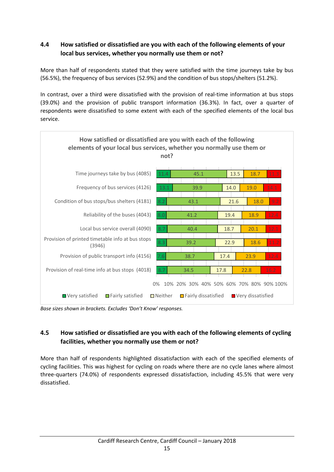## **4.4 How satisfied or dissatisfied are you with each of the following elements of your local bus services, whether you normally use them or not?**

More than half of respondents stated that they were satisfied with the time journeys take by bus (56.5%), the frequency of bus services (52.9%) and the condition of bus stops/shelters (51.2%).

In contrast, over a third were dissatisfied with the provision of real-time information at bus stops (39.0%) and the provision of public transport information (36.3%). In fact, over a quarter of respondents were dissatisfied to some extent with each of the specified elements of the local bus service.



*Base sizes shown in brackets. Excludes 'Don't Know' responses.* 

## **4.5 How satisfied or dissatisfied are you with each of the following elements of cycling facilities, whether you normally use them or not?**

More than half of respondents highlighted dissatisfaction with each of the specified elements of cycling facilities. This was highest for cycling on roads where there are no cycle lanes where almost three‐quarters (74.0%) of respondents expressed dissatisfaction, including 45.5% that were very dissatisfied.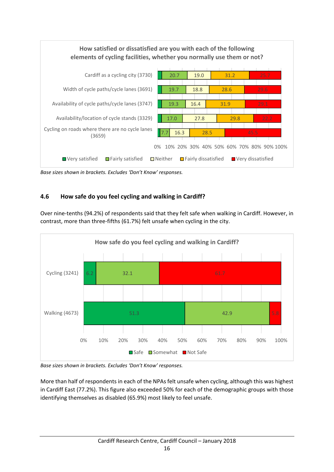

*Base sizes shown in brackets. Excludes 'Don't Know' responses.* 

## **4.6 How safe do you feel cycling and walking in Cardiff?**

Over nine-tenths (94.2%) of respondents said that they felt safe when walking in Cardiff. However, in contrast, more than three‐fifths (61.7%) felt unsafe when cycling in the city.



*Base sizes shown in brackets. Excludes 'Don't Know' responses.* 

More than half of respondents in each of the NPAs felt unsafe when cycling, although this was highest in Cardiff East (77.2%). This figure also exceeded 50% for each of the demographic groups with those identifying themselves as disabled (65.9%) most likely to feel unsafe.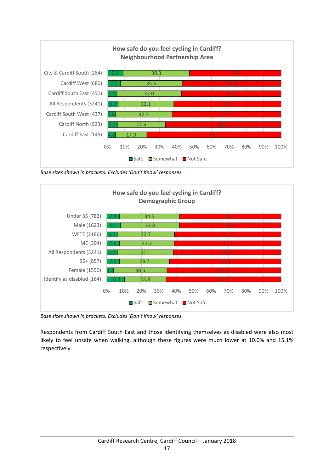

*Base sizes shown in brackets. Excludes 'Don't Know' responses.*



*Base sizes shown in brackets. Excludes 'Don't Know' responses.*

Respondents from Cardiff South East and those identifying themselves as disabled were also most likely to feel unsafe when walking, although these figures were much lower at 10.0% and 15.1% respectively.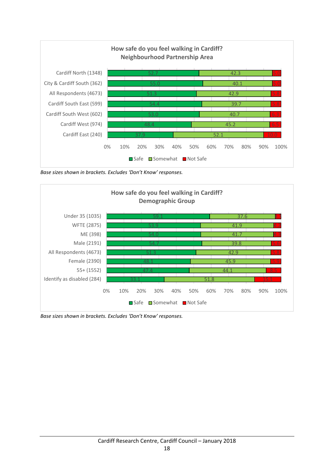

*Base sizes shown in brackets. Excludes 'Don't Know' responses.*



*Base sizes shown in brackets. Excludes 'Don't Know' responses.*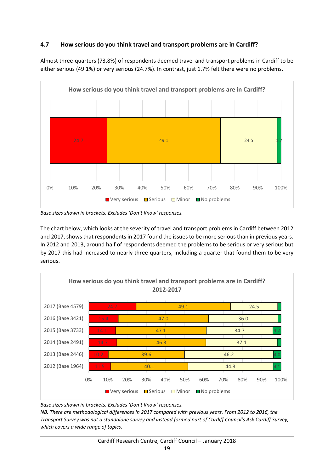#### **4.7 How serious do you think travel and transport problems are in Cardiff?**

Almost three‐quarters (73.8%) of respondents deemed travel and transport problems in Cardiff to be either serious (49.1%) or very serious (24.7%). In contrast, just 1.7% felt there were no problems.



*Base sizes shown in brackets. Excludes 'Don't Know' responses.* 

The chart below, which looks at the severity of travel and transport problems in Cardiff between 2012 and 2017, shows that respondents in 2017 found the issues to be more serious than in previous years. In 2012 and 2013, around half of respondents deemed the problems to be serious or very serious but by 2017 this had increased to nearly three‐quarters, including a quarter that found them to be very serious.



*Base sizes shown in brackets. Excludes 'Don't Know' responses.* 

*NB. There are methodological differences in 2017 compared with previous years. From 2012 to 2016, the Transport Survey was not a standalone survey and instead formed part of Cardiff Council's Ask Cardiff Survey, which covers a wide range of topics.*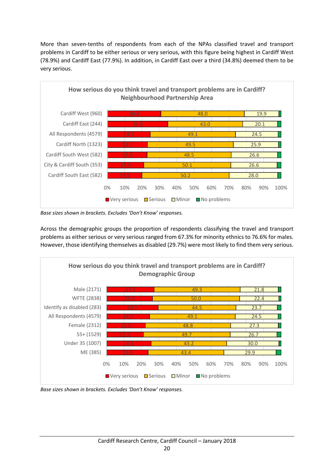More than seven-tenths of respondents from each of the NPAs classified travel and transport problems in Cardiff to be either serious or very serious, with this figure being highest in Cardiff West (78.9%) and Cardiff East (77.9%). In addition, in Cardiff East over a third (34.8%) deemed them to be very serious.



*Base sizes shown in brackets. Excludes 'Don't Know' responses.* 

Across the demographic groups the proportion of respondents classifying the travel and transport problems as either serious or very serious ranged from 67.3% for minority ethnics to 76.6% for males. However, those identifying themselves as disabled (29.7%) were most likely to find them very serious.



*Base sizes shown in brackets. Excludes 'Don't Know' responses.*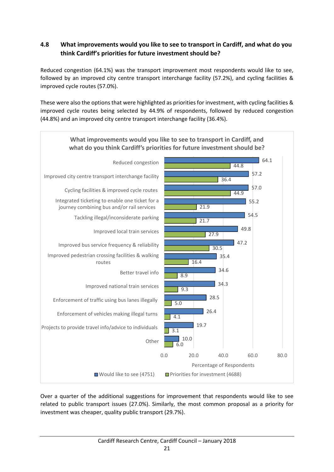## **4.8 What improvements would you like to see to transport in Cardiff, and what do you think Cardiff's priorities for future investment should be?**

Reduced congestion (64.1%) was the transport improvement most respondents would like to see, followed by an improved city centre transport interchange facility (57.2%), and cycling facilities & improved cycle routes (57.0%).

These were also the options that were highlighted as priorities for investment, with cycling facilities & improved cycle routes being selected by 44.9% of respondents, followed by reduced congestion (44.8%) and an improved city centre transport interchange facility (36.4%).



Over a quarter of the additional suggestions for improvement that respondents would like to see related to public transport issues (27.0%). Similarly, the most common proposal as a priority for investment was cheaper, quality public transport (29.7%).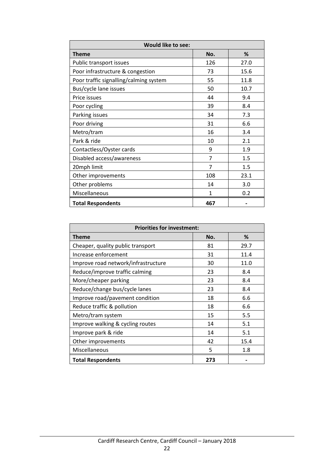| <b>Would like to see:</b>              |     |      |  |  |
|----------------------------------------|-----|------|--|--|
| <b>Theme</b>                           | No. | %    |  |  |
| Public transport issues                | 126 | 27.0 |  |  |
| Poor infrastructure & congestion       | 73  | 15.6 |  |  |
| Poor traffic signalling/calming system | 55  | 11.8 |  |  |
| Bus/cycle lane issues                  | 50  | 10.7 |  |  |
| Price issues                           | 44  | 9.4  |  |  |
| Poor cycling                           | 39  | 8.4  |  |  |
| Parking issues                         | 34  | 7.3  |  |  |
| Poor driving                           | 31  | 6.6  |  |  |
| Metro/tram                             | 16  | 3.4  |  |  |
| Park & ride                            | 10  | 2.1  |  |  |
| Contactless/Oyster cards               | 9   | 1.9  |  |  |
| Disabled access/awareness              | 7   | 1.5  |  |  |
| 20mph limit                            | 7   | 1.5  |  |  |
| Other improvements                     | 108 | 23.1 |  |  |
| Other problems                         | 14  | 3.0  |  |  |
| Miscellaneous                          | 1   | 0.2  |  |  |
| <b>Total Respondents</b>               | 467 |      |  |  |

| <b>Priorities for investment:</b>   |     |      |  |  |
|-------------------------------------|-----|------|--|--|
| Theme                               | No. | %    |  |  |
| Cheaper, quality public transport   | 81  | 29.7 |  |  |
| Increase enforcement                | 31  | 11.4 |  |  |
| Improve road network/infrastructure | 30  | 11.0 |  |  |
| Reduce/improve traffic calming      | 23  | 8.4  |  |  |
| More/cheaper parking                | 23  | 8.4  |  |  |
| Reduce/change bus/cycle lanes       | 23  | 8.4  |  |  |
| Improve road/pavement condition     | 18  | 6.6  |  |  |
| Reduce traffic & pollution          | 18  | 6.6  |  |  |
| Metro/tram system                   | 15  | 5.5  |  |  |
| Improve walking & cycling routes    | 14  | 5.1  |  |  |
| Improve park & ride                 | 14  | 5.1  |  |  |
| Other improvements                  | 42  | 15.4 |  |  |
| Miscellaneous                       | 5   | 1.8  |  |  |
| <b>Total Respondents</b>            | 273 |      |  |  |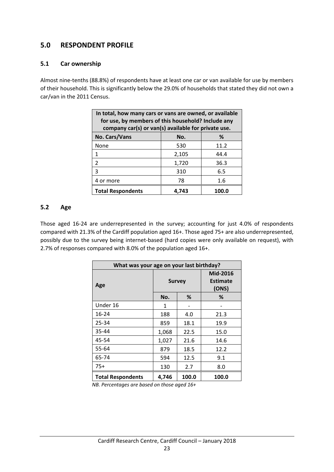## **5.0 RESPONDENT PROFILE**

#### **5.1 Car ownership**

Almost nine‐tenths (88.8%) of respondents have at least one car or van available for use by members of their household. This is significantly below the 29.0% of households that stated they did not own a car/van in the 2011 Census.

| In total, how many cars or vans are owned, or available<br>for use, by members of this household? Include any<br>company car(s) or van(s) available for private use. |       |      |  |  |  |
|----------------------------------------------------------------------------------------------------------------------------------------------------------------------|-------|------|--|--|--|
| No. Cars/Vans                                                                                                                                                        | No.   | %    |  |  |  |
| None                                                                                                                                                                 | 530   | 11.2 |  |  |  |
| 1                                                                                                                                                                    | 2,105 | 44.4 |  |  |  |
| $\mathcal{P}$                                                                                                                                                        | 1,720 | 36.3 |  |  |  |
| 3                                                                                                                                                                    | 310   | 6.5  |  |  |  |
| 4 or more                                                                                                                                                            | 78    | 1.6  |  |  |  |
| <b>Total Respondents</b><br>4.743<br>100.0                                                                                                                           |       |      |  |  |  |

#### **5.2 Age**

Those aged 16-24 are underrepresented in the survey; accounting for just 4.0% of respondents compared with 21.3% of the Cardiff population aged 16+. Those aged 75+ are also underrepresented, possibly due to the survey being internet‐based (hard copies were only available on request), with 2.7% of responses compared with 8.0% of the population aged 16+.

| What was your age on your last birthday? |            |               |                                      |  |  |
|------------------------------------------|------------|---------------|--------------------------------------|--|--|
| Age                                      |            | <b>Survey</b> | Mid-2016<br><b>Estimate</b><br>(ONS) |  |  |
|                                          | No.        | %             | ℅                                    |  |  |
| Under 16                                 | 1          |               |                                      |  |  |
| $16 - 24$                                | 188        | 4.0           | 21.3                                 |  |  |
| 25-34                                    | 859        | 18.1          | 19.9                                 |  |  |
| 35-44                                    | 1,068      | 22.5          | 15.0                                 |  |  |
| 45-54                                    | 1,027      | 21.6          | 14.6                                 |  |  |
| 55-64                                    | 879        | 18.5          | 12.2                                 |  |  |
| 65-74                                    | 594        | 12.5          | 9.1                                  |  |  |
| 75+                                      | 2.7<br>130 |               | 8.0                                  |  |  |
| <b>Total Respondents</b>                 | 4.746      | 100.0         | 100.0                                |  |  |

*NB. Percentages are based on those aged 16+*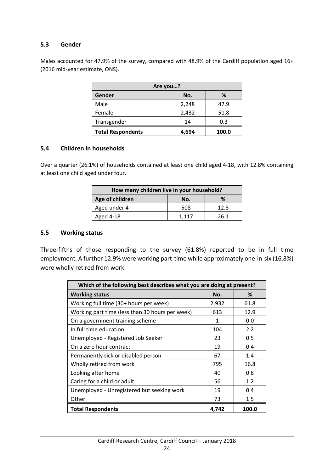#### **5.3 Gender**

Males accounted for 47.9% of the survey, compared with 48.9% of the Cardiff population aged 16+ (2016 mid‐year estimate, ONS).

| Are you?                 |       |       |  |  |
|--------------------------|-------|-------|--|--|
| Gender                   | No.   | ℅     |  |  |
| Male                     | 2,248 | 47.9  |  |  |
| Female                   | 2,432 | 51.8  |  |  |
| Transgender              | 14    | 0.3   |  |  |
| <b>Total Respondents</b> | 4,694 | 100.0 |  |  |

#### **5.4 Children in households**

Over a quarter (26.1%) of households contained at least one child aged 4‐18, with 12.8% containing at least one child aged under four.

| How many children live in your household? |       |      |  |  |
|-------------------------------------------|-------|------|--|--|
| Age of children                           | No.   | ℅    |  |  |
| Aged under 4                              | 508   | 12.8 |  |  |
| Aged 4-18                                 | 1.117 | 26.1 |  |  |

#### **5.5 Working status**

Three-fifths of those responding to the survey (61.8%) reported to be in full time employment. A further 12.9% were working part-time while approximately one-in-six (16.8%) were wholly retired from work.

| Which of the following best describes what you are doing at present? |       |       |  |  |  |
|----------------------------------------------------------------------|-------|-------|--|--|--|
| <b>Working status</b>                                                | No.   | %     |  |  |  |
| Working full time (30+ hours per week)                               | 2,932 | 61.8  |  |  |  |
| Working part time (less than 30 hours per week)                      | 613   | 12.9  |  |  |  |
| On a government training scheme                                      | 1     | 0.0   |  |  |  |
| In full time education                                               | 104   | 2.2   |  |  |  |
| Unemployed - Registered Job Seeker                                   | 23    | 0.5   |  |  |  |
| On a zero hour contract                                              | 19    | 0.4   |  |  |  |
| Permanently sick or disabled person                                  | 67    | 1.4   |  |  |  |
| Wholly retired from work                                             | 795   | 16.8  |  |  |  |
| Looking after home                                                   | 40    | 0.8   |  |  |  |
| Caring for a child or adult                                          | 56    | 1.2   |  |  |  |
| Unemployed - Unregistered but seeking work                           | 19    | 0.4   |  |  |  |
| Other                                                                | 73    | 1.5   |  |  |  |
| <b>Total Respondents</b>                                             | 4,742 | 100.0 |  |  |  |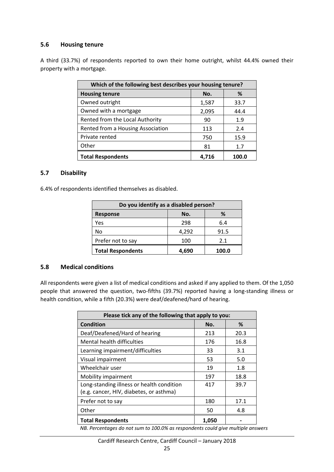#### **5.6 Housing tenure**

A third (33.7%) of respondents reported to own their home outright, whilst 44.4% owned their property with a mortgage.

| Which of the following best describes your housing tenure? |       |       |  |
|------------------------------------------------------------|-------|-------|--|
| <b>Housing tenure</b>                                      | No.   | %     |  |
| Owned outright                                             | 1,587 | 33.7  |  |
| Owned with a mortgage                                      | 2,095 | 44.4  |  |
| Rented from the Local Authority                            | 90    | 1.9   |  |
| Rented from a Housing Association                          | 113   | 2.4   |  |
| Private rented                                             | 750   | 15.9  |  |
| Other                                                      | 81    | 1.7   |  |
| <b>Total Respondents</b>                                   | 4.716 | 100.0 |  |

#### **5.7 Disability**

6.4% of respondents identified themselves as disabled.

| Do you identify as a disabled person? |       |       |
|---------------------------------------|-------|-------|
| <b>Response</b>                       | No.   | %     |
| Yes                                   | 298   | 6.4   |
| No                                    | 4,292 | 91.5  |
| Prefer not to say                     | 100   | 2.1   |
| <b>Total Respondents</b>              | 4,690 | 100.0 |

#### **5.8 Medical conditions**

All respondents were given a list of medical conditions and asked if any applied to them. Of the 1,050 people that answered the question, two-fifths (39.7%) reported having a long-standing illness or health condition, while a fifth (20.3%) were deaf/deafened/hard of hearing.

| Please tick any of the following that apply to you: |       |      |
|-----------------------------------------------------|-------|------|
| <b>Condition</b>                                    | No.   | %    |
| Deaf/Deafened/Hard of hearing                       | 213   | 20.3 |
| Mental health difficulties                          | 176   | 16.8 |
| Learning impairment/difficulties                    | 33    | 3.1  |
| Visual impairment                                   | 53    | 5.0  |
| Wheelchair user                                     | 19    | 1.8  |
| Mobility impairment                                 | 197   | 18.8 |
| Long-standing illness or health condition           | 417   | 39.7 |
| (e.g. cancer, HIV, diabetes, or asthma)             |       |      |
| Prefer not to say                                   | 180   | 17.1 |
| Other                                               | 50    | 4.8  |
| <b>Total Respondents</b>                            | 1,050 |      |

*NB. Percentages do not sum to 100.0% as respondents could give multiple answers*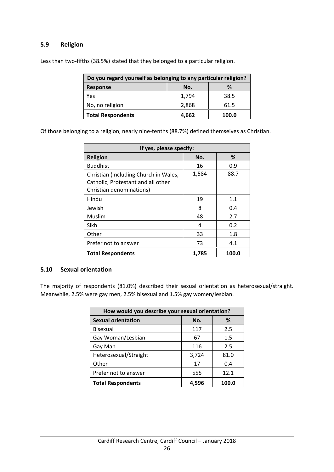#### **5.9 Religion**

Less than two-fifths (38.5%) stated that they belonged to a particular religion.

| Do you regard yourself as belonging to any particular religion? |       |       |  |
|-----------------------------------------------------------------|-------|-------|--|
| <b>Response</b>                                                 | No.   | %     |  |
| Yes                                                             | 1,794 | 38.5  |  |
| No, no religion                                                 | 2,868 | 61.5  |  |
| <b>Total Respondents</b>                                        | 4,662 | 100.0 |  |

Of those belonging to a religion, nearly nine‐tenths (88.7%) defined themselves as Christian.

| If yes, please specify:                                                                                 |       |       |
|---------------------------------------------------------------------------------------------------------|-------|-------|
| <b>Religion</b>                                                                                         | No.   | ℅     |
| <b>Buddhist</b>                                                                                         | 16    | 0.9   |
| Christian (Including Church in Wales,<br>Catholic, Protestant and all other<br>Christian denominations) | 1,584 | 88.7  |
| Hindu                                                                                                   | 19    | 1.1   |
| Jewish                                                                                                  | 8     | 0.4   |
| Muslim                                                                                                  | 48    | 2.7   |
| Sikh                                                                                                    | 4     | 0.2   |
| Other                                                                                                   | 33    | 1.8   |
| Prefer not to answer                                                                                    | 73    | 4.1   |
| <b>Total Respondents</b>                                                                                | 1,785 | 100.0 |

#### **5.10 Sexual orientation**

The majority of respondents (81.0%) described their sexual orientation as heterosexual/straight. Meanwhile, 2.5% were gay men, 2.5% bisexual and 1.5% gay women/lesbian.

| How would you describe your sexual orientation? |       |       |
|-------------------------------------------------|-------|-------|
| <b>Sexual orientation</b>                       | No.   | %     |
| <b>Bisexual</b>                                 | 117   | 2.5   |
| Gay Woman/Lesbian                               | 67    | 1.5   |
| Gay Man                                         | 116   | 2.5   |
| Heterosexual/Straight                           | 3,724 | 81.0  |
| Other                                           | 17    | 0.4   |
| Prefer not to answer                            | 555   | 12.1  |
| <b>Total Respondents</b>                        | 4,596 | 100.0 |